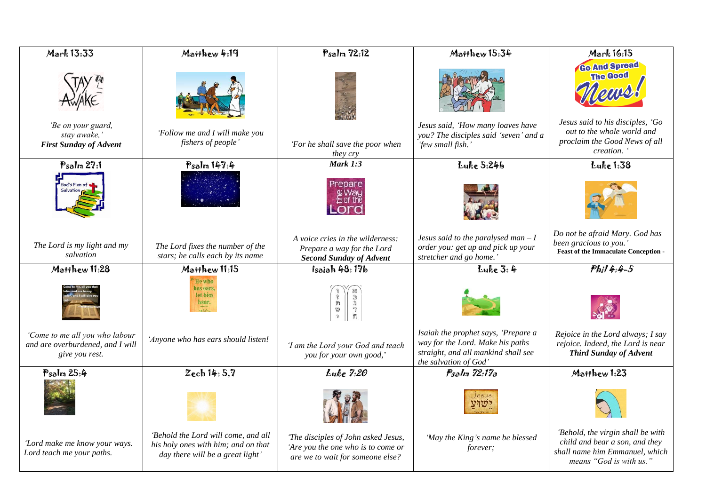| Mark 13:33                                                                           | Matthew 4:19                                                                                                   | Psalm 72:12                                                                                                   | Matthew 15:34                                                                                                                           | Mark 16:15                                                                                                                                                |
|--------------------------------------------------------------------------------------|----------------------------------------------------------------------------------------------------------------|---------------------------------------------------------------------------------------------------------------|-----------------------------------------------------------------------------------------------------------------------------------------|-----------------------------------------------------------------------------------------------------------------------------------------------------------|
| 'Be on your guard,<br>stay awake,'<br><b>First Sunday of Advent</b>                  | 'Follow me and I will make you<br>fishers of people'                                                           | 'For he shall save the poor when<br>they cry                                                                  | Jesus said, 'How many loaves have<br>you? The disciples said 'seven' and a<br>'few small fish.'                                         | <b>Go And Spread</b><br><b>The Good</b><br>Jesus said to his disciples, 'Go<br>out to the whole world and<br>proclaim the Good News of all<br>creation. ' |
| Psalm 27:1                                                                           | Psalm 147:4                                                                                                    | <b>Mark 1:3</b>                                                                                               | Luke 5:24b                                                                                                                              | Luke 1:38                                                                                                                                                 |
| God's Plan of                                                                        |                                                                                                                | Prepare                                                                                                       |                                                                                                                                         |                                                                                                                                                           |
| The Lord is my light and my<br>salvation                                             | The Lord fixes the number of the<br>stars; he calls each by its name                                           | A voice cries in the wilderness:<br>Prepare a way for the Lord<br><b>Second Sunday of Advent</b>              | Jesus said to the paralysed man $-I$<br>order you: get up and pick up your<br>stretcher and go home.'                                   | Do not be afraid Mary. God has<br>been gracious to you.'<br><b>Feast of the Immaculate Conception -</b>                                                   |
| Matthew 11:28                                                                        | Matthew 11:15                                                                                                  | Isaiah 48:17b                                                                                                 | Luke 3:4                                                                                                                                | $Phil4.4-5$                                                                                                                                               |
|                                                                                      | He who<br>has ears.<br>let him<br>hear.                                                                        | $\circ \mathfrak{g} \ni \mathfrak{g}$<br>ミョヤカ                                                                 |                                                                                                                                         |                                                                                                                                                           |
| 'Come to me all you who labour<br>and are overburdened, and I will<br>give you rest. | 'Anyone who has ears should listen!                                                                            | 'I am the Lord your God and teach<br>you for your own good,'                                                  | Isaiah the prophet says, 'Prepare a<br>way for the Lord. Make his paths<br>straight, and all mankind shall see<br>the salvation of God' | Rejoice in the Lord always; I say<br>rejoice. Indeed, the Lord is near<br><b>Third Sunday of Advent</b>                                                   |
| Psalm 25:4                                                                           | Zech 14: 5,7                                                                                                   | <b>Luke 7:20</b>                                                                                              | Psalm 72:17a                                                                                                                            | Matthew 1:23                                                                                                                                              |
|                                                                                      |                                                                                                                |                                                                                                               |                                                                                                                                         |                                                                                                                                                           |
| 'Lord make me know your ways.<br>Lord teach me your paths.                           | 'Behold the Lord will come, and all<br>his holy ones with him; and on that<br>day there will be a great light' | 'The disciples of John asked Jesus,<br>'Are you the one who is to come or<br>are we to wait for someone else? | 'May the King's name be blessed<br>forever;                                                                                             | 'Behold, the virgin shall be with<br>child and bear a son, and they<br>shall name him Emmanuel, which<br>means "God is with us."                          |